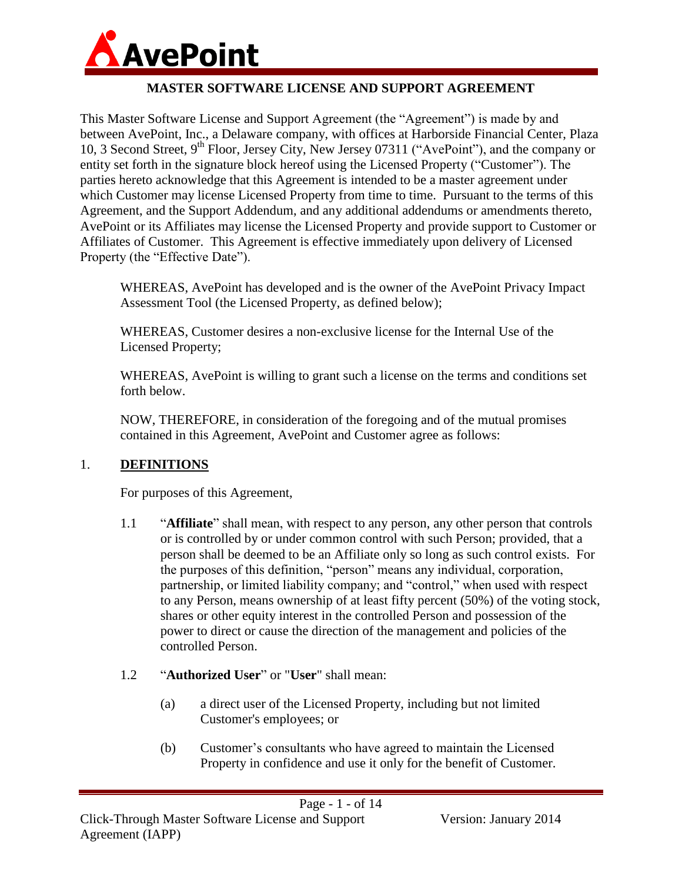

#### **MASTER SOFTWARE LICENSE AND SUPPORT AGREEMENT**

This Master Software License and Support Agreement (the "Agreement") is made by and between AvePoint, Inc., a Delaware company, with offices at Harborside Financial Center, Plaza 10, 3 Second Street, 9<sup>th</sup> Floor, Jersey City, New Jersey 07311 ("AvePoint"), and the company or entity set forth in the signature block hereof using the Licensed Property ("Customer"). The parties hereto acknowledge that this Agreement is intended to be a master agreement under which Customer may license Licensed Property from time to time. Pursuant to the terms of this Agreement, and the Support Addendum, and any additional addendums or amendments thereto, AvePoint or its Affiliates may license the Licensed Property and provide support to Customer or Affiliates of Customer. This Agreement is effective immediately upon delivery of Licensed Property (the "Effective Date").

WHEREAS, AvePoint has developed and is the owner of the AvePoint Privacy Impact Assessment Tool (the Licensed Property, as defined below);

WHEREAS, Customer desires a non-exclusive license for the Internal Use of the Licensed Property;

WHEREAS, AvePoint is willing to grant such a license on the terms and conditions set forth below.

NOW, THEREFORE, in consideration of the foregoing and of the mutual promises contained in this Agreement, AvePoint and Customer agree as follows:

#### 1. **DEFINITIONS**

For purposes of this Agreement,

- 1.1 "**Affiliate**" shall mean, with respect to any person, any other person that controls or is controlled by or under common control with such Person; provided, that a person shall be deemed to be an Affiliate only so long as such control exists. For the purposes of this definition, "person" means any individual, corporation, partnership, or limited liability company; and "control," when used with respect to any Person, means ownership of at least fifty percent (50%) of the voting stock, shares or other equity interest in the controlled Person and possession of the power to direct or cause the direction of the management and policies of the controlled Person.
- 1.2 "**Authorized User**" or "**User**" shall mean:
	- (a) a direct user of the Licensed Property, including but not limited Customer's employees; or
	- (b) Customer's consultants who have agreed to maintain the Licensed Property in confidence and use it only for the benefit of Customer.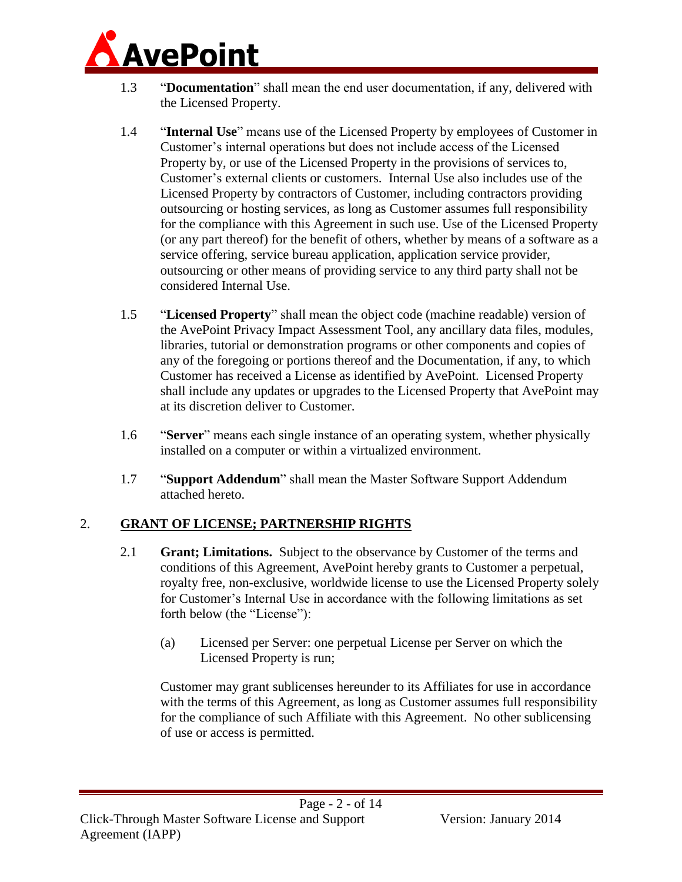

- 1.3 "**Documentation**" shall mean the end user documentation, if any, delivered with the Licensed Property.
- 1.4 "**Internal Use**" means use of the Licensed Property by employees of Customer in Customer's internal operations but does not include access of the Licensed Property by, or use of the Licensed Property in the provisions of services to, Customer's external clients or customers. Internal Use also includes use of the Licensed Property by contractors of Customer, including contractors providing outsourcing or hosting services, as long as Customer assumes full responsibility for the compliance with this Agreement in such use. Use of the Licensed Property (or any part thereof) for the benefit of others, whether by means of a software as a service offering, service bureau application, application service provider, outsourcing or other means of providing service to any third party shall not be considered Internal Use.
- 1.5 "**Licensed Property**" shall mean the object code (machine readable) version of the AvePoint Privacy Impact Assessment Tool, any ancillary data files, modules, libraries, tutorial or demonstration programs or other components and copies of any of the foregoing or portions thereof and the Documentation, if any, to which Customer has received a License as identified by AvePoint. Licensed Property shall include any updates or upgrades to the Licensed Property that AvePoint may at its discretion deliver to Customer.
- 1.6 "**Server**" means each single instance of an operating system, whether physically installed on a computer or within a virtualized environment.
- 1.7 "**Support Addendum**" shall mean the Master Software Support Addendum attached hereto.

# <span id="page-1-0"></span>2. **GRANT OF LICENSE; PARTNERSHIP RIGHTS**

- 2.1 **Grant; Limitations.** Subject to the observance by Customer of the terms and conditions of this Agreement, AvePoint hereby grants to Customer a perpetual, royalty free, non-exclusive, worldwide license to use the Licensed Property solely for Customer's Internal Use in accordance with the following limitations as set forth below (the "License"):
	- (a) Licensed per Server: one perpetual License per Server on which the Licensed Property is run;

Customer may grant sublicenses hereunder to its Affiliates for use in accordance with the terms of this Agreement, as long as Customer assumes full responsibility for the compliance of such Affiliate with this Agreement. No other sublicensing of use or access is permitted.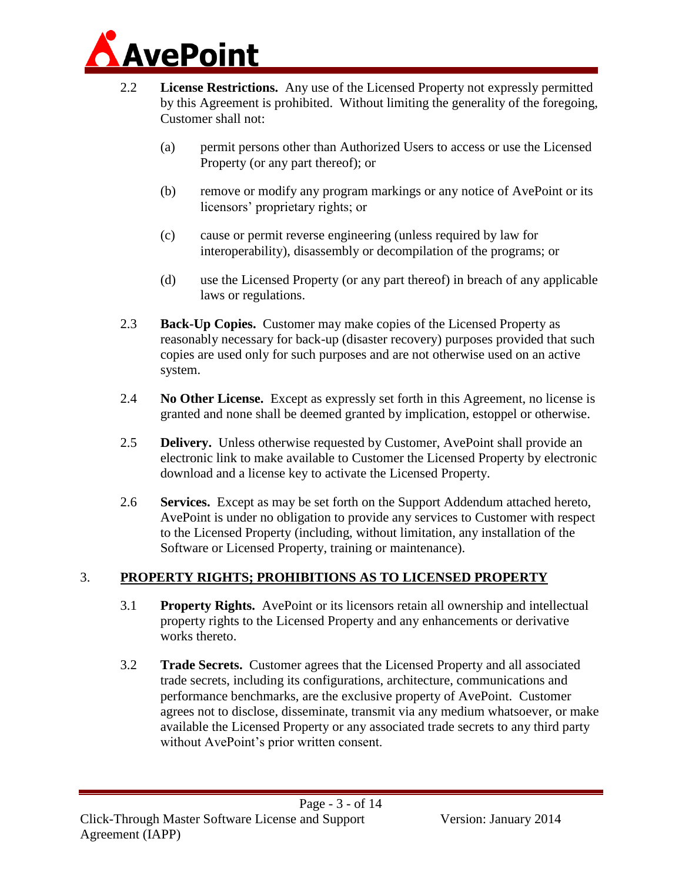

- 2.2 **License Restrictions.** Any use of the Licensed Property not expressly permitted by this Agreement is prohibited. Without limiting the generality of the foregoing, Customer shall not:
	- (a) permit persons other than Authorized Users to access or use the Licensed Property (or any part thereof); or
	- (b) remove or modify any program markings or any notice of AvePoint or its licensors' proprietary rights; or
	- (c) cause or permit reverse engineering (unless required by law for interoperability), disassembly or decompilation of the programs; or
	- (d) use the Licensed Property (or any part thereof) in breach of any applicable laws or regulations.
- 2.3 **Back-Up Copies.** Customer may make copies of the Licensed Property as reasonably necessary for back-up (disaster recovery) purposes provided that such copies are used only for such purposes and are not otherwise used on an active system.
- 2.4 **No Other License.** Except as expressly set forth in this Agreement, no license is granted and none shall be deemed granted by implication, estoppel or otherwise.
- 2.5 **Delivery.** Unless otherwise requested by Customer, AvePoint shall provide an electronic link to make available to Customer the Licensed Property by electronic download and a license key to activate the Licensed Property.
- 2.6 **Services.** Except as may be set forth on the Support Addendum attached hereto, AvePoint is under no obligation to provide any services to Customer with respect to the Licensed Property (including, without limitation, any installation of the Software or Licensed Property, training or maintenance).

# <span id="page-2-0"></span>3. **PROPERTY RIGHTS; PROHIBITIONS AS TO LICENSED PROPERTY**

- 3.1 **Property Rights.** AvePoint or its licensors retain all ownership and intellectual property rights to the Licensed Property and any enhancements or derivative works thereto.
- 3.2 **Trade Secrets.** Customer agrees that the Licensed Property and all associated trade secrets, including its configurations, architecture, communications and performance benchmarks, are the exclusive property of AvePoint. Customer agrees not to disclose, disseminate, transmit via any medium whatsoever, or make available the Licensed Property or any associated trade secrets to any third party without AvePoint's prior written consent.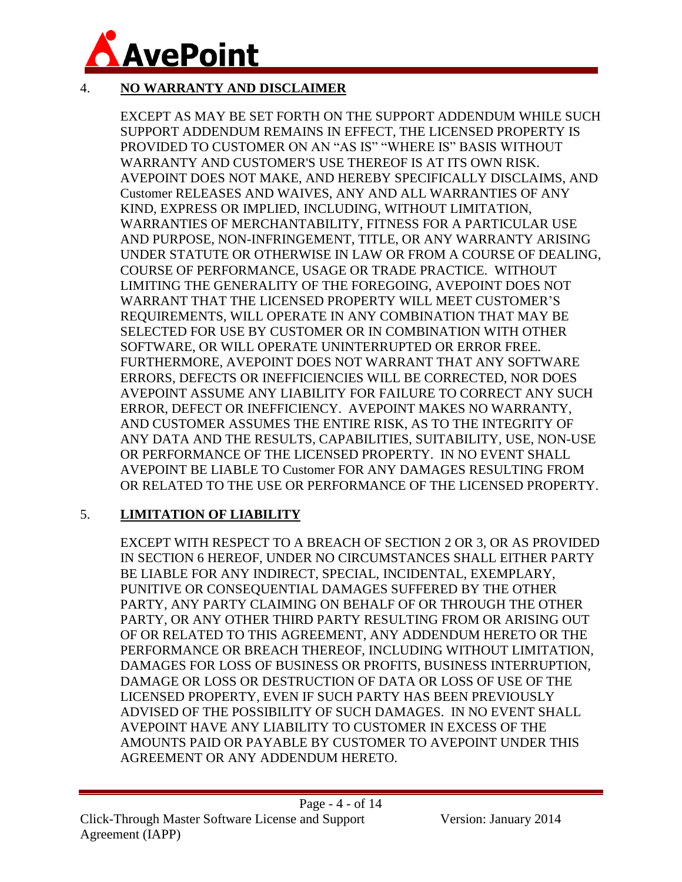

# <span id="page-3-0"></span>4. **NO WARRANTY AND DISCLAIMER**

EXCEPT AS MAY BE SET FORTH ON THE SUPPORT ADDENDUM WHILE SUCH SUPPORT ADDENDUM REMAINS IN EFFECT, THE LICENSED PROPERTY IS PROVIDED TO CUSTOMER ON AN "AS IS" "WHERE IS" BASIS WITHOUT WARRANTY AND CUSTOMER'S USE THEREOF IS AT ITS OWN RISK. AVEPOINT DOES NOT MAKE, AND HEREBY SPECIFICALLY DISCLAIMS, AND Customer RELEASES AND WAIVES, ANY AND ALL WARRANTIES OF ANY KIND, EXPRESS OR IMPLIED, INCLUDING, WITHOUT LIMITATION, WARRANTIES OF MERCHANTABILITY, FITNESS FOR A PARTICULAR USE AND PURPOSE, NON-INFRINGEMENT, TITLE, OR ANY WARRANTY ARISING UNDER STATUTE OR OTHERWISE IN LAW OR FROM A COURSE OF DEALING, COURSE OF PERFORMANCE, USAGE OR TRADE PRACTICE. WITHOUT LIMITING THE GENERALITY OF THE FOREGOING, AVEPOINT DOES NOT WARRANT THAT THE LICENSED PROPERTY WILL MEET CUSTOMER'S REQUIREMENTS, WILL OPERATE IN ANY COMBINATION THAT MAY BE SELECTED FOR USE BY CUSTOMER OR IN COMBINATION WITH OTHER SOFTWARE, OR WILL OPERATE UNINTERRUPTED OR ERROR FREE. FURTHERMORE, AVEPOINT DOES NOT WARRANT THAT ANY SOFTWARE ERRORS, DEFECTS OR INEFFICIENCIES WILL BE CORRECTED, NOR DOES AVEPOINT ASSUME ANY LIABILITY FOR FAILURE TO CORRECT ANY SUCH ERROR, DEFECT OR INEFFICIENCY. AVEPOINT MAKES NO WARRANTY, AND CUSTOMER ASSUMES THE ENTIRE RISK, AS TO THE INTEGRITY OF ANY DATA AND THE RESULTS, CAPABILITIES, SUITABILITY, USE, NON-USE OR PERFORMANCE OF THE LICENSED PROPERTY. IN NO EVENT SHALL AVEPOINT BE LIABLE TO Customer FOR ANY DAMAGES RESULTING FROM OR RELATED TO THE USE OR PERFORMANCE OF THE LICENSED PROPERTY.

# 5. **LIMITATION OF LIABILITY**

EXCEPT WITH RESPECT TO A BREACH OF SECTION [2](#page-1-0) OR [3,](#page-2-0) OR AS PROVIDED IN SECTION [6](#page-4-0) HEREOF, UNDER NO CIRCUMSTANCES SHALL EITHER PARTY BE LIABLE FOR ANY INDIRECT, SPECIAL, INCIDENTAL, EXEMPLARY, PUNITIVE OR CONSEQUENTIAL DAMAGES SUFFERED BY THE OTHER PARTY, ANY PARTY CLAIMING ON BEHALF OF OR THROUGH THE OTHER PARTY, OR ANY OTHER THIRD PARTY RESULTING FROM OR ARISING OUT OF OR RELATED TO THIS AGREEMENT, ANY ADDENDUM HERETO OR THE PERFORMANCE OR BREACH THEREOF, INCLUDING WITHOUT LIMITATION, DAMAGES FOR LOSS OF BUSINESS OR PROFITS, BUSINESS INTERRUPTION, DAMAGE OR LOSS OR DESTRUCTION OF DATA OR LOSS OF USE OF THE LICENSED PROPERTY, EVEN IF SUCH PARTY HAS BEEN PREVIOUSLY ADVISED OF THE POSSIBILITY OF SUCH DAMAGES. IN NO EVENT SHALL AVEPOINT HAVE ANY LIABILITY TO CUSTOMER IN EXCESS OF THE AMOUNTS PAID OR PAYABLE BY CUSTOMER TO AVEPOINT UNDER THIS AGREEMENT OR ANY ADDENDUM HERETO.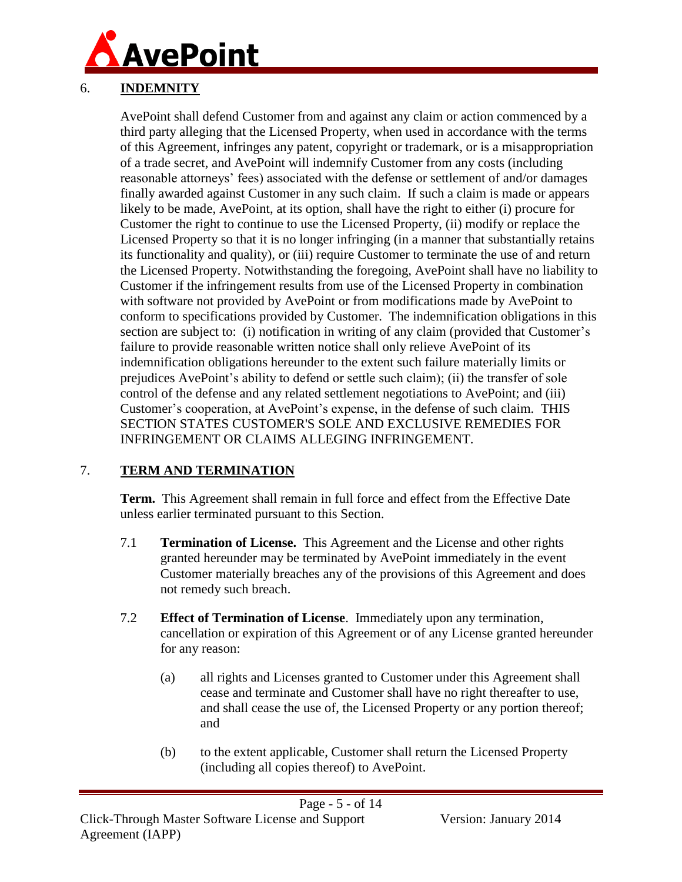

# <span id="page-4-0"></span>6. **INDEMNITY**

AvePoint shall defend Customer from and against any claim or action commenced by a third party alleging that the Licensed Property, when used in accordance with the terms of this Agreement, infringes any patent, copyright or trademark, or is a misappropriation of a trade secret, and AvePoint will indemnify Customer from any costs (including reasonable attorneys' fees) associated with the defense or settlement of and/or damages finally awarded against Customer in any such claim. If such a claim is made or appears likely to be made, AvePoint, at its option, shall have the right to either (i) procure for Customer the right to continue to use the Licensed Property, (ii) modify or replace the Licensed Property so that it is no longer infringing (in a manner that substantially retains its functionality and quality), or (iii) require Customer to terminate the use of and return the Licensed Property. Notwithstanding the foregoing, AvePoint shall have no liability to Customer if the infringement results from use of the Licensed Property in combination with software not provided by AvePoint or from modifications made by AvePoint to conform to specifications provided by Customer. The indemnification obligations in this section are subject to: (i) notification in writing of any claim (provided that Customer's failure to provide reasonable written notice shall only relieve AvePoint of its indemnification obligations hereunder to the extent such failure materially limits or prejudices AvePoint's ability to defend or settle such claim); (ii) the transfer of sole control of the defense and any related settlement negotiations to AvePoint; and (iii) Customer's cooperation, at AvePoint's expense, in the defense of such claim. THIS SECTION STATES CUSTOMER'S SOLE AND EXCLUSIVE REMEDIES FOR INFRINGEMENT OR CLAIMS ALLEGING INFRINGEMENT.

# 7. **TERM AND TERMINATION**

**Term.** This Agreement shall remain in full force and effect from the Effective Date unless earlier terminated pursuant to this Section.

- 7.1 **Termination of License.** This Agreement and the License and other rights granted hereunder may be terminated by AvePoint immediately in the event Customer materially breaches any of the provisions of this Agreement and does not remedy such breach.
- 7.2 **Effect of Termination of License**. Immediately upon any termination, cancellation or expiration of this Agreement or of any License granted hereunder for any reason:
	- (a) all rights and Licenses granted to Customer under this Agreement shall cease and terminate and Customer shall have no right thereafter to use, and shall cease the use of, the Licensed Property or any portion thereof; and
	- (b) to the extent applicable, Customer shall return the Licensed Property (including all copies thereof) to AvePoint.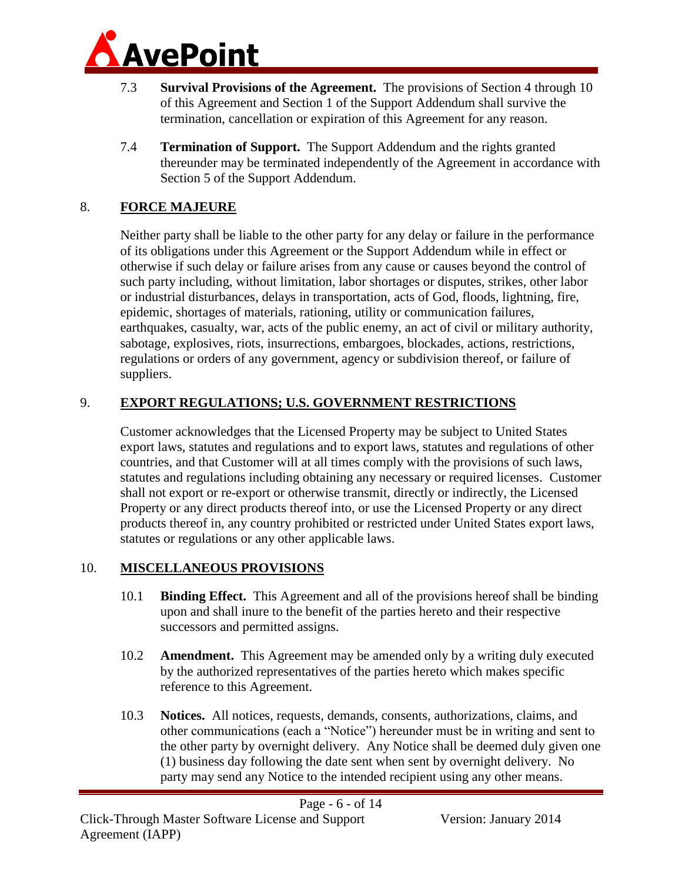

- 7.3 **Survival Provisions of the Agreement.** The provisions of Section [4](#page-3-0) through [10](#page-5-0) of this Agreement and Section 1 of the Support Addendum shall survive the termination, cancellation or expiration of this Agreement for any reason.
- 7.4 **Termination of Support.** The Support Addendum and the rights granted thereunder may be terminated independently of the Agreement in accordance with Section [5](#page-13-0) of the Support Addendum.

# 8. **FORCE MAJEURE**

Neither party shall be liable to the other party for any delay or failure in the performance of its obligations under this Agreement or the Support Addendum while in effect or otherwise if such delay or failure arises from any cause or causes beyond the control of such party including, without limitation, labor shortages or disputes, strikes, other labor or industrial disturbances, delays in transportation, acts of God, floods, lightning, fire, epidemic, shortages of materials, rationing, utility or communication failures, earthquakes, casualty, war, acts of the public enemy, an act of civil or military authority, sabotage, explosives, riots, insurrections, embargoes, blockades, actions, restrictions, regulations or orders of any government, agency or subdivision thereof, or failure of suppliers.

#### 9. **EXPORT REGULATIONS; U.S. GOVERNMENT RESTRICTIONS**

Customer acknowledges that the Licensed Property may be subject to United States export laws, statutes and regulations and to export laws, statutes and regulations of other countries, and that Customer will at all times comply with the provisions of such laws, statutes and regulations including obtaining any necessary or required licenses. Customer shall not export or re-export or otherwise transmit, directly or indirectly, the Licensed Property or any direct products thereof into, or use the Licensed Property or any direct products thereof in, any country prohibited or restricted under United States export laws, statutes or regulations or any other applicable laws.

# <span id="page-5-0"></span>10. **MISCELLANEOUS PROVISIONS**

- 10.1 **Binding Effect.** This Agreement and all of the provisions hereof shall be binding upon and shall inure to the benefit of the parties hereto and their respective successors and permitted assigns.
- 10.2 **Amendment.** This Agreement may be amended only by a writing duly executed by the authorized representatives of the parties hereto which makes specific reference to this Agreement.
- 10.3 **Notices.** All notices, requests, demands, consents, authorizations, claims, and other communications (each a "Notice") hereunder must be in writing and sent to the other party by overnight delivery. Any Notice shall be deemed duly given one (1) business day following the date sent when sent by overnight delivery. No party may send any Notice to the intended recipient using any other means.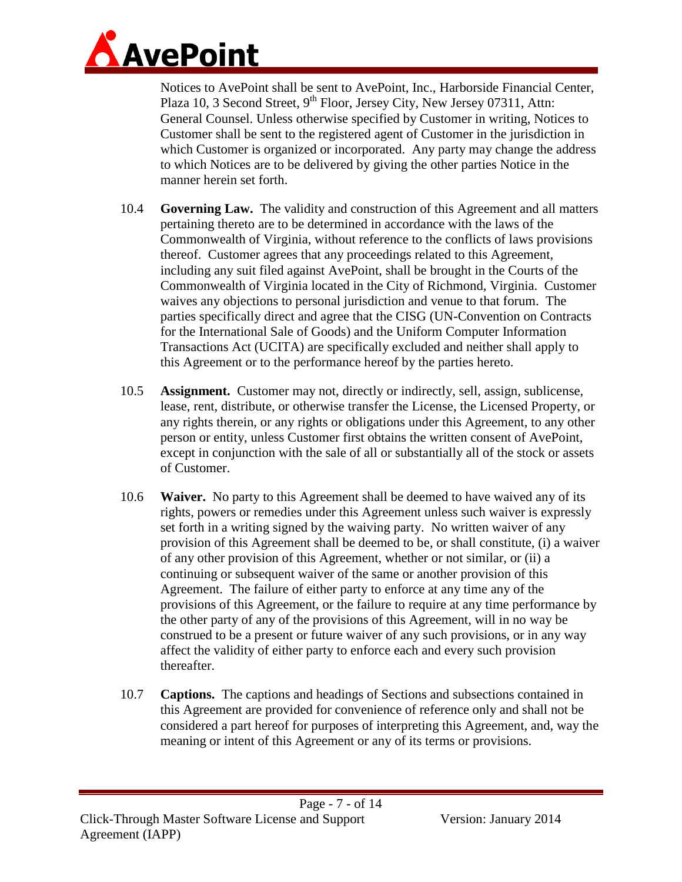

Notices to AvePoint shall be sent to AvePoint, Inc., Harborside Financial Center, Plaza 10, 3 Second Street, 9<sup>th</sup> Floor, Jersey City, New Jersey 07311, Attn: General Counsel. Unless otherwise specified by Customer in writing, Notices to Customer shall be sent to the registered agent of Customer in the jurisdiction in which Customer is organized or incorporated. Any party may change the address to which Notices are to be delivered by giving the other parties Notice in the manner herein set forth.

- 10.4 **Governing Law.** The validity and construction of this Agreement and all matters pertaining thereto are to be determined in accordance with the laws of the Commonwealth of Virginia, without reference to the conflicts of laws provisions thereof. Customer agrees that any proceedings related to this Agreement, including any suit filed against AvePoint, shall be brought in the Courts of the Commonwealth of Virginia located in the City of Richmond, Virginia. Customer waives any objections to personal jurisdiction and venue to that forum. The parties specifically direct and agree that the CISG (UN-Convention on Contracts for the International Sale of Goods) and the Uniform Computer Information Transactions Act (UCITA) are specifically excluded and neither shall apply to this Agreement or to the performance hereof by the parties hereto.
- 10.5 **Assignment.** Customer may not, directly or indirectly, sell, assign, sublicense, lease, rent, distribute, or otherwise transfer the License, the Licensed Property, or any rights therein, or any rights or obligations under this Agreement, to any other person or entity, unless Customer first obtains the written consent of AvePoint, except in conjunction with the sale of all or substantially all of the stock or assets of Customer.
- 10.6 **Waiver.** No party to this Agreement shall be deemed to have waived any of its rights, powers or remedies under this Agreement unless such waiver is expressly set forth in a writing signed by the waiving party. No written waiver of any provision of this Agreement shall be deemed to be, or shall constitute, (i) a waiver of any other provision of this Agreement, whether or not similar, or (ii) a continuing or subsequent waiver of the same or another provision of this Agreement. The failure of either party to enforce at any time any of the provisions of this Agreement, or the failure to require at any time performance by the other party of any of the provisions of this Agreement, will in no way be construed to be a present or future waiver of any such provisions, or in any way affect the validity of either party to enforce each and every such provision thereafter.
- 10.7 **Captions.** The captions and headings of Sections and subsections contained in this Agreement are provided for convenience of reference only and shall not be considered a part hereof for purposes of interpreting this Agreement, and, way the meaning or intent of this Agreement or any of its terms or provisions.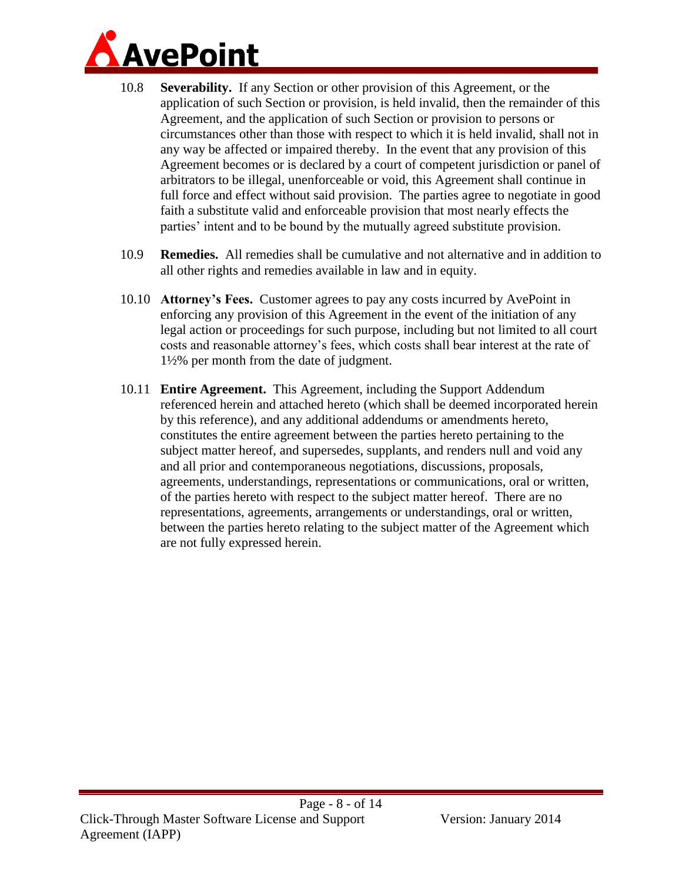

- 10.8 **Severability.** If any Section or other provision of this Agreement, or the application of such Section or provision, is held invalid, then the remainder of this Agreement, and the application of such Section or provision to persons or circumstances other than those with respect to which it is held invalid, shall not in any way be affected or impaired thereby. In the event that any provision of this Agreement becomes or is declared by a court of competent jurisdiction or panel of arbitrators to be illegal, unenforceable or void, this Agreement shall continue in full force and effect without said provision. The parties agree to negotiate in good faith a substitute valid and enforceable provision that most nearly effects the parties' intent and to be bound by the mutually agreed substitute provision.
- 10.9 **Remedies.** All remedies shall be cumulative and not alternative and in addition to all other rights and remedies available in law and in equity.
- 10.10 **Attorney's Fees.** Customer agrees to pay any costs incurred by AvePoint in enforcing any provision of this Agreement in the event of the initiation of any legal action or proceedings for such purpose, including but not limited to all court costs and reasonable attorney's fees, which costs shall bear interest at the rate of 1½% per month from the date of judgment.
- 10.11 **Entire Agreement.** This Agreement, including the Support Addendum referenced herein and attached hereto (which shall be deemed incorporated herein by this reference), and any additional addendums or amendments hereto, constitutes the entire agreement between the parties hereto pertaining to the subject matter hereof, and supersedes, supplants, and renders null and void any and all prior and contemporaneous negotiations, discussions, proposals, agreements, understandings, representations or communications, oral or written, of the parties hereto with respect to the subject matter hereof. There are no representations, agreements, arrangements or understandings, oral or written, between the parties hereto relating to the subject matter of the Agreement which are not fully expressed herein.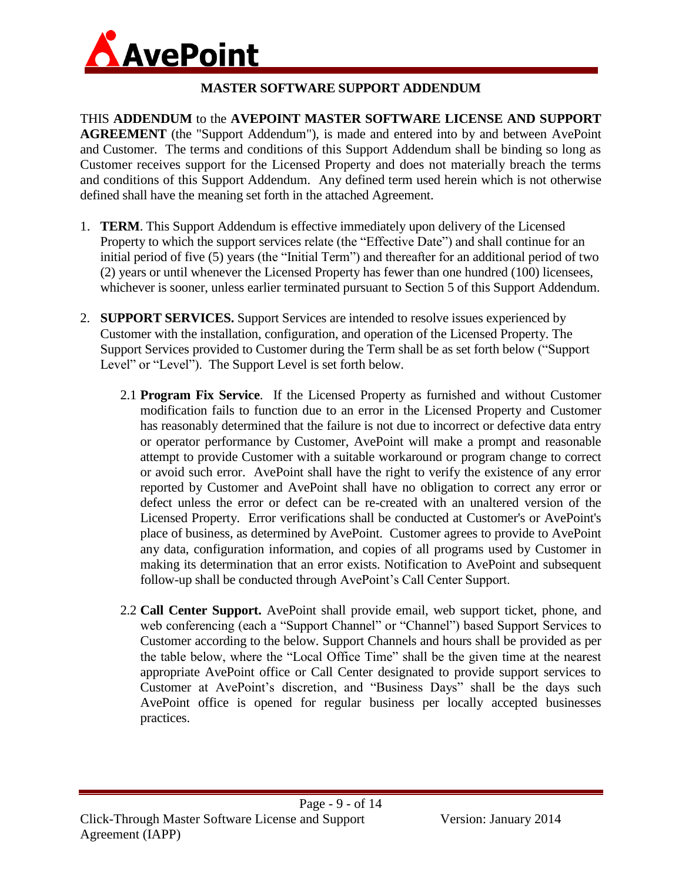

# **MASTER SOFTWARE SUPPORT ADDENDUM**

THIS **ADDENDUM** to the **AVEPOINT MASTER SOFTWARE LICENSE AND SUPPORT AGREEMENT** (the "Support Addendum"), is made and entered into by and between AvePoint and Customer. The terms and conditions of this Support Addendum shall be binding so long as Customer receives support for the Licensed Property and does not materially breach the terms and conditions of this Support Addendum. Any defined term used herein which is not otherwise defined shall have the meaning set forth in the attached Agreement.

- <span id="page-8-0"></span>1. **TERM**. This Support Addendum is effective immediately upon delivery of the Licensed Property to which the support services relate (the "Effective Date") and shall continue for an initial period of five (5) years (the "Initial Term") and thereafter for an additional period of two (2) years or until whenever the Licensed Property has fewer than one hundred (100) licensees, whichever is sooner, unless earlier terminated pursuant to Section [5](#page-13-0) of this Support Addendum.
- 2. **SUPPORT SERVICES.** Support Services are intended to resolve issues experienced by Customer with the installation, configuration, and operation of the Licensed Property. The Support Services provided to Customer during the Term shall be as set forth below ("Support Level" or "Level"). The Support Level is set forth below.
	- 2.1 **Program Fix Service**. If the Licensed Property as furnished and without Customer modification fails to function due to an error in the Licensed Property and Customer has reasonably determined that the failure is not due to incorrect or defective data entry or operator performance by Customer, AvePoint will make a prompt and reasonable attempt to provide Customer with a suitable workaround or program change to correct or avoid such error. AvePoint shall have the right to verify the existence of any error reported by Customer and AvePoint shall have no obligation to correct any error or defect unless the error or defect can be re-created with an unaltered version of the Licensed Property. Error verifications shall be conducted at Customer's or AvePoint's place of business, as determined by AvePoint. Customer agrees to provide to AvePoint any data, configuration information, and copies of all programs used by Customer in making its determination that an error exists. Notification to AvePoint and subsequent follow-up shall be conducted through AvePoint's Call Center Support.
	- 2.2 **Call Center Support.** AvePoint shall provide email, web support ticket, phone, and web conferencing (each a "Support Channel" or "Channel") based Support Services to Customer according to the below. Support Channels and hours shall be provided as per the table below, where the "Local Office Time" shall be the given time at the nearest appropriate AvePoint office or Call Center designated to provide support services to Customer at AvePoint's discretion, and "Business Days" shall be the days such AvePoint office is opened for regular business per locally accepted businesses practices.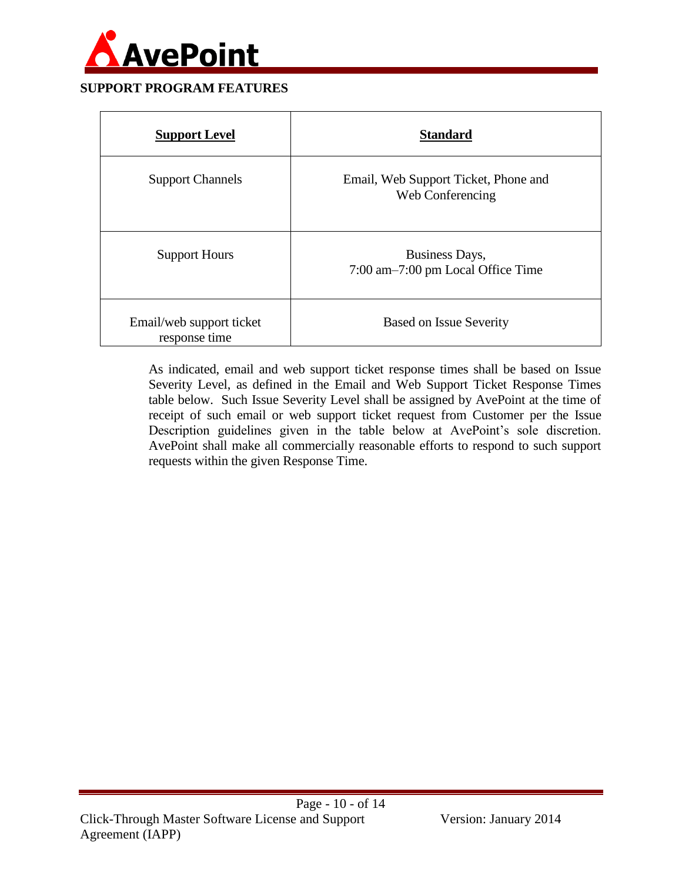

#### **SUPPORT PROGRAM FEATURES**

| <b>Support Level</b>                      | <b>Standard</b>                                          |
|-------------------------------------------|----------------------------------------------------------|
| <b>Support Channels</b>                   | Email, Web Support Ticket, Phone and<br>Web Conferencing |
| <b>Support Hours</b>                      | Business Days,<br>7:00 am-7:00 pm Local Office Time      |
| Email/web support ticket<br>response time | <b>Based on Issue Severity</b>                           |

As indicated, email and web support ticket response times shall be based on Issue Severity Level, as defined in the Email and Web Support Ticket Response Times table below. Such Issue Severity Level shall be assigned by AvePoint at the time of receipt of such email or web support ticket request from Customer per the Issue Description guidelines given in the table below at AvePoint's sole discretion. AvePoint shall make all commercially reasonable efforts to respond to such support requests within the given Response Time.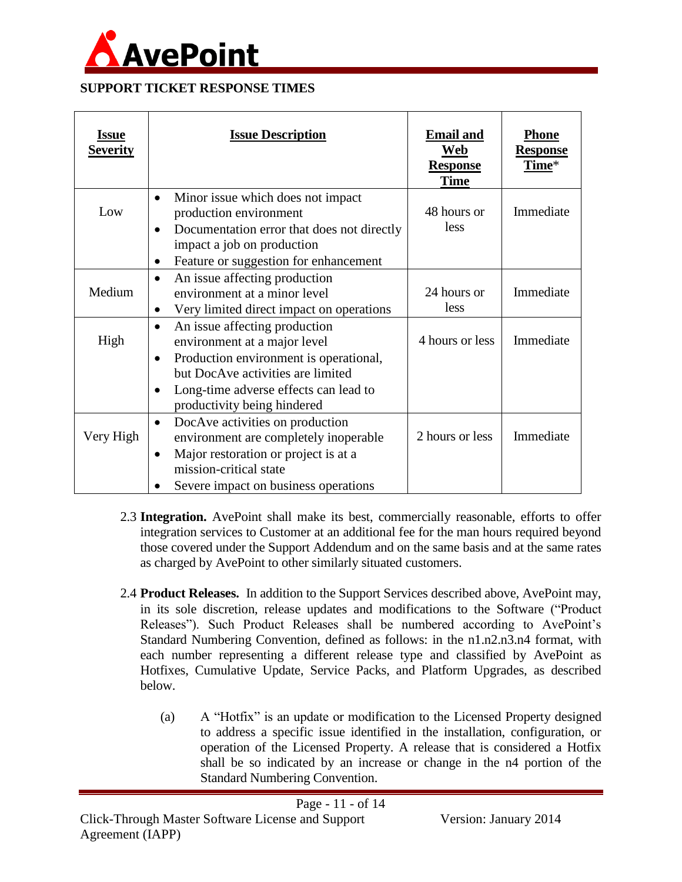

#### **SUPPORT TICKET RESPONSE TIMES**

| <u>Issue</u><br><b>Severity</b> | <b>Issue Description</b>                                                                                                                                                                                                                            | <b>Email and</b><br>Web<br><b>Response</b><br><b>Time</b> | <b>Phone</b><br><b>Response</b><br>Time* |
|---------------------------------|-----------------------------------------------------------------------------------------------------------------------------------------------------------------------------------------------------------------------------------------------------|-----------------------------------------------------------|------------------------------------------|
| Low                             | Minor issue which does not impact.<br>$\bullet$<br>production environment<br>Documentation error that does not directly<br>$\bullet$<br>impact a job on production<br>Feature or suggestion for enhancement<br>$\bullet$                            | 48 hours or<br>less                                       | Immediate                                |
| Medium                          | An issue affecting production<br>$\bullet$<br>environment at a minor level<br>Very limited direct impact on operations<br>$\bullet$                                                                                                                 | 24 hours or<br>less                                       | Immediate                                |
| High                            | An issue affecting production<br>$\bullet$<br>environment at a major level<br>Production environment is operational,<br>$\bullet$<br>but DocAve activities are limited<br>Long-time adverse effects can lead to<br>٠<br>productivity being hindered | 4 hours or less                                           | Immediate                                |
| Very High                       | DocAve activities on production<br>$\bullet$<br>environment are completely inoperable<br>Major restoration or project is at a<br>$\bullet$<br>mission-critical state<br>Severe impact on business operations                                        | 2 hours or less                                           | Immediate                                |

- 2.3 **Integration.** AvePoint shall make its best, commercially reasonable, efforts to offer integration services to Customer at an additional fee for the man hours required beyond those covered under the Support Addendum and on the same basis and at the same rates as charged by AvePoint to other similarly situated customers.
- 2.4 **Product Releases.** In addition to the Support Services described above, AvePoint may, in its sole discretion, release updates and modifications to the Software ("Product Releases"). Such Product Releases shall be numbered according to AvePoint's Standard Numbering Convention, defined as follows: in the n1.n2.n3.n4 format, with each number representing a different release type and classified by AvePoint as Hotfixes, Cumulative Update, Service Packs, and Platform Upgrades, as described below.
	- (a) A "Hotfix" is an update or modification to the Licensed Property designed to address a specific issue identified in the installation, configuration, or operation of the Licensed Property. A release that is considered a Hotfix shall be so indicated by an increase or change in the n4 portion of the Standard Numbering Convention.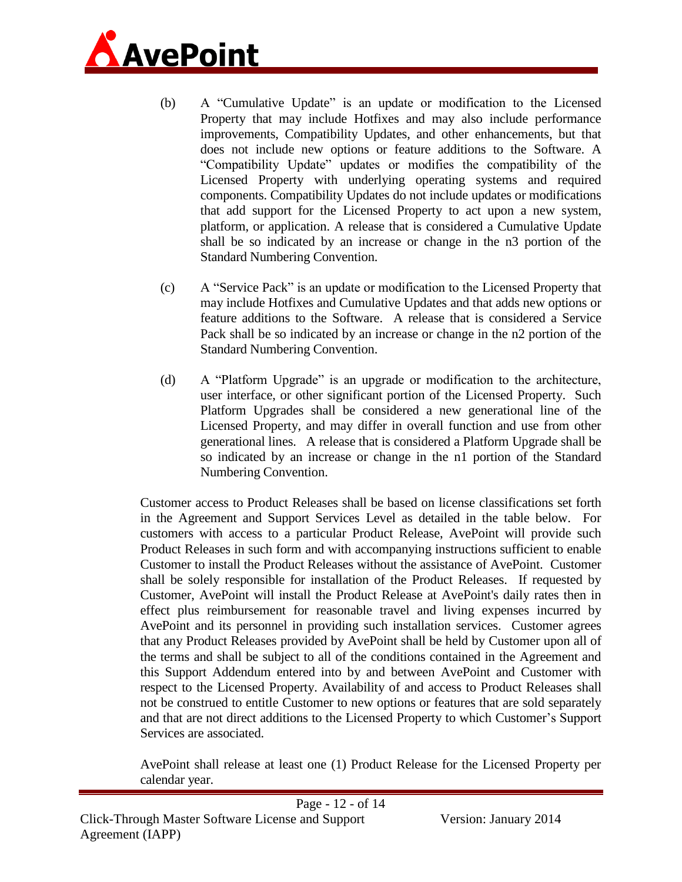

- (b) A "Cumulative Update" is an update or modification to the Licensed Property that may include Hotfixes and may also include performance improvements, Compatibility Updates, and other enhancements, but that does not include new options or feature additions to the Software. A "Compatibility Update" updates or modifies the compatibility of the Licensed Property with underlying operating systems and required components. Compatibility Updates do not include updates or modifications that add support for the Licensed Property to act upon a new system, platform, or application. A release that is considered a Cumulative Update shall be so indicated by an increase or change in the n3 portion of the Standard Numbering Convention.
- (c) A "Service Pack" is an update or modification to the Licensed Property that may include Hotfixes and Cumulative Updates and that adds new options or feature additions to the Software. A release that is considered a Service Pack shall be so indicated by an increase or change in the n2 portion of the Standard Numbering Convention.
- (d) A "Platform Upgrade" is an upgrade or modification to the architecture, user interface, or other significant portion of the Licensed Property. Such Platform Upgrades shall be considered a new generational line of the Licensed Property, and may differ in overall function and use from other generational lines. A release that is considered a Platform Upgrade shall be so indicated by an increase or change in the n1 portion of the Standard Numbering Convention.

Customer access to Product Releases shall be based on license classifications set forth in the Agreement and Support Services Level as detailed in the table below. For customers with access to a particular Product Release, AvePoint will provide such Product Releases in such form and with accompanying instructions sufficient to enable Customer to install the Product Releases without the assistance of AvePoint. Customer shall be solely responsible for installation of the Product Releases. If requested by Customer, AvePoint will install the Product Release at AvePoint's daily rates then in effect plus reimbursement for reasonable travel and living expenses incurred by AvePoint and its personnel in providing such installation services. Customer agrees that any Product Releases provided by AvePoint shall be held by Customer upon all of the terms and shall be subject to all of the conditions contained in the Agreement and this Support Addendum entered into by and between AvePoint and Customer with respect to the Licensed Property. Availability of and access to Product Releases shall not be construed to entitle Customer to new options or features that are sold separately and that are not direct additions to the Licensed Property to which Customer's Support Services are associated.

AvePoint shall release at least one (1) Product Release for the Licensed Property per calendar year.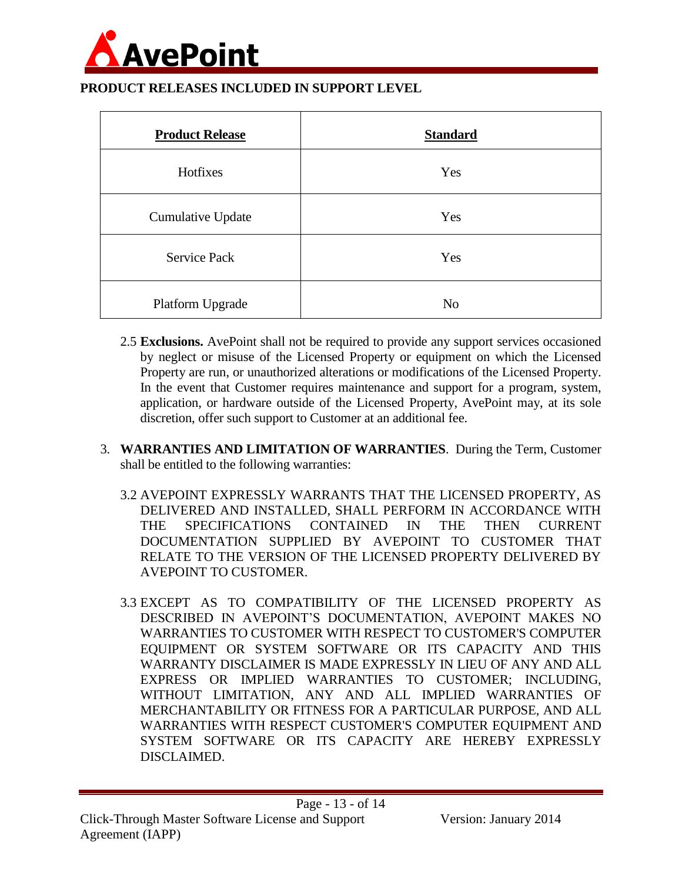

#### **PRODUCT RELEASES INCLUDED IN SUPPORT LEVEL**

| <b>Product Release</b>   | <b>Standard</b> |
|--------------------------|-----------------|
| Hotfixes                 | Yes             |
| <b>Cumulative Update</b> | Yes             |
| <b>Service Pack</b>      | Yes             |
| Platform Upgrade         | N <sub>o</sub>  |

- 2.5 **Exclusions.** AvePoint shall not be required to provide any support services occasioned by neglect or misuse of the Licensed Property or equipment on which the Licensed Property are run, or unauthorized alterations or modifications of the Licensed Property. In the event that Customer requires maintenance and support for a program, system, application, or hardware outside of the Licensed Property, AvePoint may, at its sole discretion, offer such support to Customer at an additional fee.
- 3. **WARRANTIES AND LIMITATION OF WARRANTIES**. During the Term, Customer shall be entitled to the following warranties:
	- 3.2 AVEPOINT EXPRESSLY WARRANTS THAT THE LICENSED PROPERTY, AS DELIVERED AND INSTALLED, SHALL PERFORM IN ACCORDANCE WITH THE SPECIFICATIONS CONTAINED IN THE THEN CURRENT DOCUMENTATION SUPPLIED BY AVEPOINT TO CUSTOMER THAT RELATE TO THE VERSION OF THE LICENSED PROPERTY DELIVERED BY AVEPOINT TO CUSTOMER.
	- 3.3 EXCEPT AS TO COMPATIBILITY OF THE LICENSED PROPERTY AS DESCRIBED IN AVEPOINT'S DOCUMENTATION, AVEPOINT MAKES NO WARRANTIES TO CUSTOMER WITH RESPECT TO CUSTOMER'S COMPUTER EQUIPMENT OR SYSTEM SOFTWARE OR ITS CAPACITY AND THIS WARRANTY DISCLAIMER IS MADE EXPRESSLY IN LIEU OF ANY AND ALL EXPRESS OR IMPLIED WARRANTIES TO CUSTOMER; INCLUDING, WITHOUT LIMITATION, ANY AND ALL IMPLIED WARRANTIES OF MERCHANTABILITY OR FITNESS FOR A PARTICULAR PURPOSE, AND ALL WARRANTIES WITH RESPECT CUSTOMER'S COMPUTER EQUIPMENT AND SYSTEM SOFTWARE OR ITS CAPACITY ARE HEREBY EXPRESSLY DISCLAIMED.